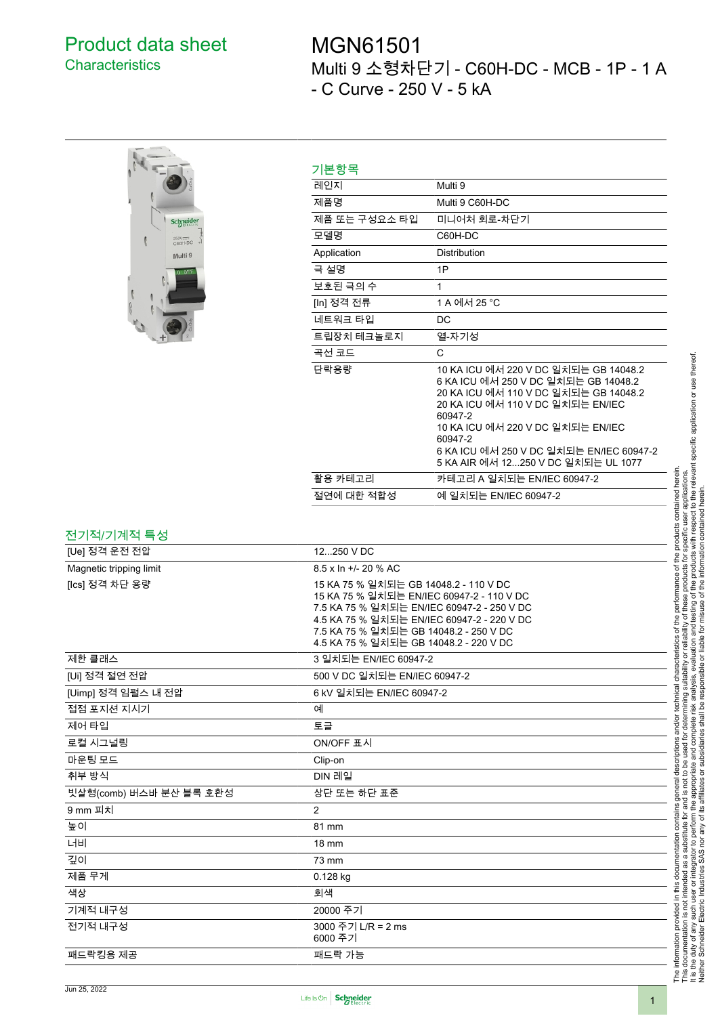## Product data sheet **Characteristics**

## MGN61501 Multi 9 소형차단기 - C60H-DC - MCB - 1P - 1 A - C Curve - 250 V - 5 kA



| 기본항목          |                                                                                                                                                                                                                                                                                                           |  |  |  |
|---------------|-----------------------------------------------------------------------------------------------------------------------------------------------------------------------------------------------------------------------------------------------------------------------------------------------------------|--|--|--|
| 레인지           | Multi 9                                                                                                                                                                                                                                                                                                   |  |  |  |
| 제품명           | Multi 9 C60H-DC                                                                                                                                                                                                                                                                                           |  |  |  |
| 제품 또는 구성요소 타입 | 미니어처 회로-차단기                                                                                                                                                                                                                                                                                               |  |  |  |
| 모델명           | C60H-DC                                                                                                                                                                                                                                                                                                   |  |  |  |
| Application   | Distribution                                                                                                                                                                                                                                                                                              |  |  |  |
| 극 설명          | 1P                                                                                                                                                                                                                                                                                                        |  |  |  |
| 보호된 극의 수      | 1                                                                                                                                                                                                                                                                                                         |  |  |  |
| [In] 정격 전류    | 1 A 에서 25 °C                                                                                                                                                                                                                                                                                              |  |  |  |
| 네트워크 타입       | DC                                                                                                                                                                                                                                                                                                        |  |  |  |
| 트립장치 테크놀로지    | 열-자기성                                                                                                                                                                                                                                                                                                     |  |  |  |
| 곡선 코드         | C                                                                                                                                                                                                                                                                                                         |  |  |  |
| 단락용량          | 10 KA ICU 에서 220 V DC 일치되는 GB 14048.2<br>6 KA ICU 에서 250 V DC 일치되는 GB 14048.2<br>20 KA ICU 에서 110 V DC 일치되는 GB 14048.2<br>20 KA ICU 에서 110 V DC 일치되는 EN/IEC<br>60947-2<br>10 KA ICU 에서 220 V DC 일치되는 EN/IEC<br>60947-2<br>6 KA ICU 에서 250 V DC 일치되는 EN/IEC 60947-2<br>5 KA AIR 에서 12250 V DC 일치되는 UL 1077 |  |  |  |
| 활용 카테고리       | 카테고리 A 일치되는 EN/IEC 60947-2                                                                                                                                                                                                                                                                                |  |  |  |
| 절연에 대한 적합성    | 예 일치되는 EN/IEC 60947-2                                                                                                                                                                                                                                                                                     |  |  |  |

## 전기적/기계적 특성

| ———————————             |                                                                                                                                                                                                                                                                    |  |  |  |  |
|-------------------------|--------------------------------------------------------------------------------------------------------------------------------------------------------------------------------------------------------------------------------------------------------------------|--|--|--|--|
| [Ue] 정격 운전 전압           | 12250 V DC                                                                                                                                                                                                                                                         |  |  |  |  |
| Magnetic tripping limit | 8.5 x In +/- 20 % AC                                                                                                                                                                                                                                               |  |  |  |  |
| [Ics] 정격 차단 용량          | 15 KA 75 % 일치되는 GB 14048.2 - 110 V DC<br>15 KA 75 % 일치되는 EN/IEC 60947-2 - 110 V DC<br>7.5 KA 75 % 일치되는 EN/IEC 60947-2 - 250 V DC<br>4.5 KA 75 % 일치되는 EN/IEC 60947-2 - 220 V DC<br>7.5 KA 75 % 일치되는 GB 14048.2 - 250 V DC<br>4.5 KA 75 % 일치되는 GB 14048.2 - 220 V DC |  |  |  |  |
| 제한 클래스                  | 3 일치되는 EN/IEC 60947-2                                                                                                                                                                                                                                              |  |  |  |  |
| [Ui] 정격 절연 전압           | 500 V DC 일치되는 EN/IEC 60947-2                                                                                                                                                                                                                                       |  |  |  |  |
| [Uimp] 정격 임펄스 내 전압      | 6 kV 일치되는 EN/IEC 60947-2                                                                                                                                                                                                                                           |  |  |  |  |
| 접점 포지션 지시기              | 예                                                                                                                                                                                                                                                                  |  |  |  |  |
| 제어 타입                   | 토글                                                                                                                                                                                                                                                                 |  |  |  |  |
| 로컬 시그널링                 | ON/OFF 표시                                                                                                                                                                                                                                                          |  |  |  |  |
| 마운팅 모드                  | Clip-on                                                                                                                                                                                                                                                            |  |  |  |  |
| 취부 방식                   | DIN 레일                                                                                                                                                                                                                                                             |  |  |  |  |
| 빗살형(comb) 버스바 분산 블록 호환성 | 상단 또는 하단 표준                                                                                                                                                                                                                                                        |  |  |  |  |
| 9 mm 피치                 | $\overline{2}$                                                                                                                                                                                                                                                     |  |  |  |  |
| 높이                      | 81 mm                                                                                                                                                                                                                                                              |  |  |  |  |
| 너비                      | 18 mm                                                                                                                                                                                                                                                              |  |  |  |  |
| 깊이                      | 73 mm                                                                                                                                                                                                                                                              |  |  |  |  |
| 제품 무게                   | $0.128$ kg                                                                                                                                                                                                                                                         |  |  |  |  |
| 색상                      | 회색                                                                                                                                                                                                                                                                 |  |  |  |  |
| 기계적 내구성                 | 20000 주기                                                                                                                                                                                                                                                           |  |  |  |  |
| 전기적 내구성                 | 3000 주기 L/R = 2 ms<br>6000 주기                                                                                                                                                                                                                                      |  |  |  |  |
| 패드락킹용 제공                | 패드락 가능                                                                                                                                                                                                                                                             |  |  |  |  |